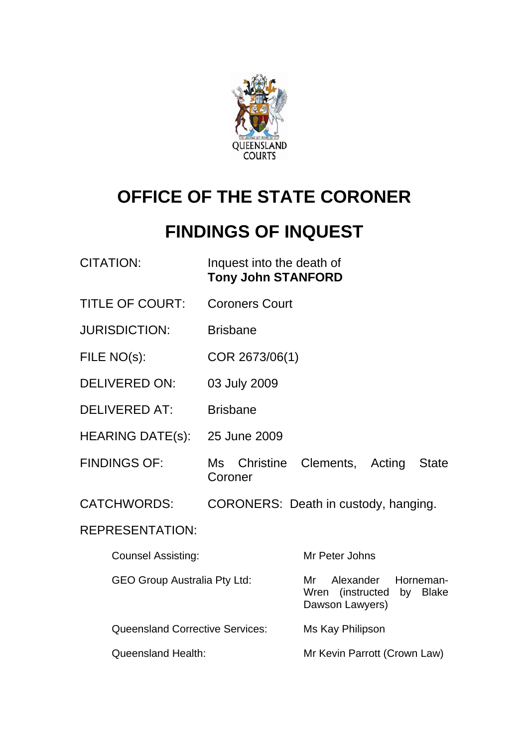

# **OFFICE OF THE STATE CORONER**

# **FINDINGS OF INQUEST**

| <b>CITATION:</b>                       | Inquest into the death of<br><b>Tony John STANFORD</b> |                                                                                 |
|----------------------------------------|--------------------------------------------------------|---------------------------------------------------------------------------------|
| <b>TITLE OF COURT:</b>                 | <b>Coroners Court</b>                                  |                                                                                 |
| <b>JURISDICTION:</b>                   | <b>Brisbane</b>                                        |                                                                                 |
| FILE NO(s):                            | COR 2673/06(1)                                         |                                                                                 |
| <b>DELIVERED ON:</b>                   | 03 July 2009                                           |                                                                                 |
| <b>DELIVERED AT:</b>                   | <b>Brisbane</b>                                        |                                                                                 |
| <b>HEARING DATE(s):</b>                | 25 June 2009                                           |                                                                                 |
| <b>FINDINGS OF:</b>                    | Coroner                                                | Ms Christine Clements, Acting<br><b>State</b>                                   |
| <b>CATCHWORDS:</b>                     |                                                        | CORONERS: Death in custody, hanging.                                            |
| <b>REPRESENTATION:</b>                 |                                                        |                                                                                 |
| <b>Counsel Assisting:</b>              |                                                        | Mr Peter Johns                                                                  |
| <b>GEO Group Australia Pty Ltd:</b>    |                                                        | Alexander<br>Horneman-<br>Mr<br>Wren (instructed<br>by Blake<br>Dawson Lawyers) |
| <b>Queensland Corrective Services:</b> |                                                        | Ms Kay Philipson                                                                |
| <b>Queensland Health:</b>              |                                                        | Mr Kevin Parrott (Crown Law)                                                    |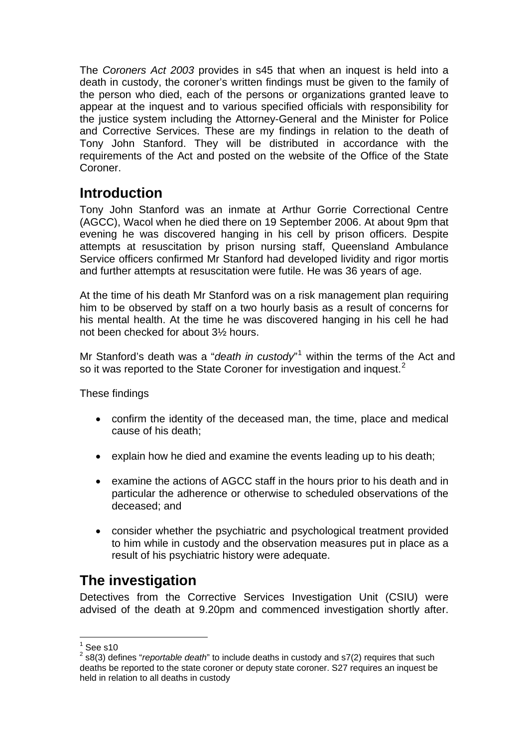The *Coroners Act 2003* provides in s45 that when an inquest is held into a death in custody, the coroner's written findings must be given to the family of the person who died, each of the persons or organizations granted leave to appear at the inquest and to various specified officials with responsibility for the justice system including the Attorney-General and the Minister for Police and Corrective Services. These are my findings in relation to the death of Tony John Stanford. They will be distributed in accordance with the requirements of the Act and posted on the website of the Office of the State Coroner.

# **Introduction**

Tony John Stanford was an inmate at Arthur Gorrie Correctional Centre (AGCC), Wacol when he died there on 19 September 2006. At about 9pm that evening he was discovered hanging in his cell by prison officers. Despite attempts at resuscitation by prison nursing staff, Queensland Ambulance Service officers confirmed Mr Stanford had developed lividity and rigor mortis and further attempts at resuscitation were futile. He was 36 years of age.

At the time of his death Mr Stanford was on a risk management plan requiring him to be observed by staff on a two hourly basis as a result of concerns for his mental health. At the time he was discovered hanging in his cell he had not been checked for about 3½ hours.

Mr Stanford's death was a "*death in custody*"<sup>[1](#page-1-0)</sup> within the terms of the Act and so it was reported to the State Coroner for investigation and inquest.<sup>[2](#page-1-1)</sup>

These findings

- confirm the identity of the deceased man, the time, place and medical cause of his death;
- explain how he died and examine the events leading up to his death;
- examine the actions of AGCC staff in the hours prior to his death and in particular the adherence or otherwise to scheduled observations of the deceased; and
- consider whether the psychiatric and psychological treatment provided to him while in custody and the observation measures put in place as a result of his psychiatric history were adequate.

# **The investigation**

Detectives from the Corrective Services Investigation Unit (CSIU) were advised of the death at 9.20pm and commenced investigation shortly after.

 $\frac{1}{1}$ See s10

<span id="page-1-1"></span><span id="page-1-0"></span><sup>2</sup> s8(3) defines "*reportable death*" to include deaths in custody and s7(2) requires that such deaths be reported to the state coroner or deputy state coroner. S27 requires an inquest be held in relation to all deaths in custody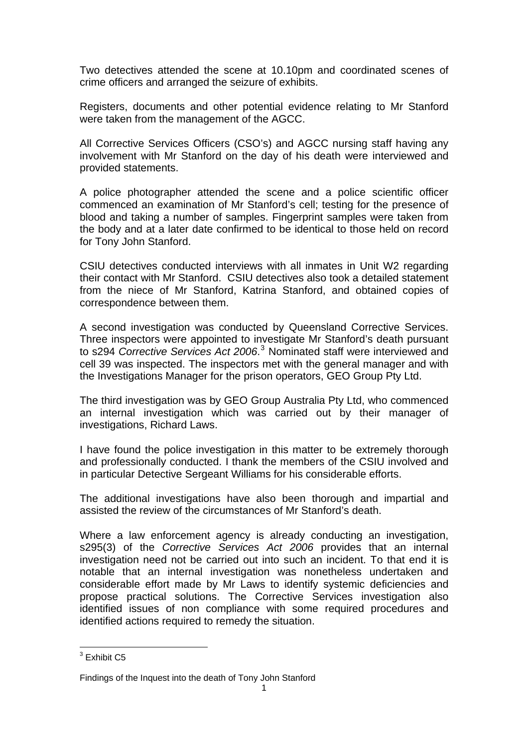Two detectives attended the scene at 10.10pm and coordinated scenes of crime officers and arranged the seizure of exhibits.

Registers, documents and other potential evidence relating to Mr Stanford were taken from the management of the AGCC.

All Corrective Services Officers (CSO's) and AGCC nursing staff having any involvement with Mr Stanford on the day of his death were interviewed and provided statements.

A police photographer attended the scene and a police scientific officer commenced an examination of Mr Stanford's cell; testing for the presence of blood and taking a number of samples. Fingerprint samples were taken from the body and at a later date confirmed to be identical to those held on record for Tony John Stanford.

CSIU detectives conducted interviews with all inmates in Unit W2 regarding their contact with Mr Stanford. CSIU detectives also took a detailed statement from the niece of Mr Stanford, Katrina Stanford, and obtained copies of correspondence between them.

A second investigation was conducted by Queensland Corrective Services. Three inspectors were appointed to investigate Mr Stanford's death pursuant to s294 Corrective Services Act 2006.<sup>[3](#page-2-0)</sup> Nominated staff were interviewed and cell 39 was inspected. The inspectors met with the general manager and with the Investigations Manager for the prison operators, GEO Group Pty Ltd.

The third investigation was by GEO Group Australia Pty Ltd, who commenced an internal investigation which was carried out by their manager of investigations, Richard Laws.

I have found the police investigation in this matter to be extremely thorough and professionally conducted. I thank the members of the CSIU involved and in particular Detective Sergeant Williams for his considerable efforts.

The additional investigations have also been thorough and impartial and assisted the review of the circumstances of Mr Stanford's death.

Where a law enforcement agency is already conducting an investigation, s295(3) of the *Corrective Services Act 2006* provides that an internal investigation need not be carried out into such an incident. To that end it is notable that an internal investigation was nonetheless undertaken and considerable effort made by Mr Laws to identify systemic deficiencies and propose practical solutions. The Corrective Services investigation also identified issues of non compliance with some required procedures and identified actions required to remedy the situation.

<span id="page-2-0"></span> 3 Exhibit C5

Findings of the Inquest into the death of Tony John Stanford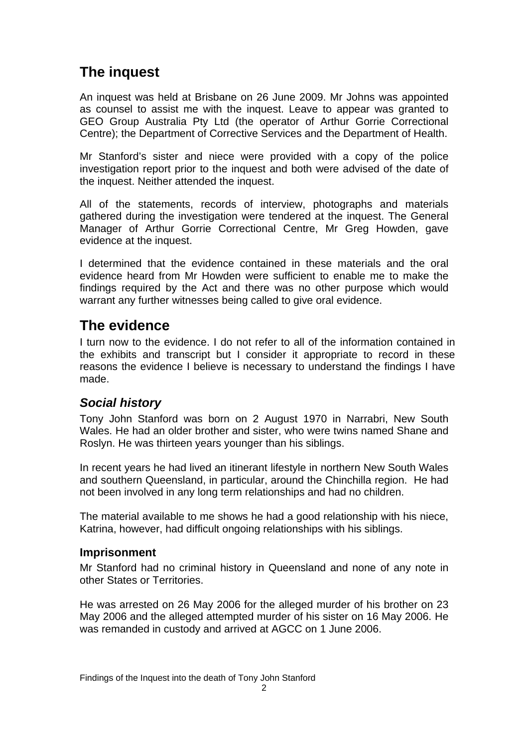# **The inquest**

An inquest was held at Brisbane on 26 June 2009. Mr Johns was appointed as counsel to assist me with the inquest. Leave to appear was granted to GEO Group Australia Pty Ltd (the operator of Arthur Gorrie Correctional Centre); the Department of Corrective Services and the Department of Health.

Mr Stanford's sister and niece were provided with a copy of the police investigation report prior to the inquest and both were advised of the date of the inquest. Neither attended the inquest.

All of the statements, records of interview, photographs and materials gathered during the investigation were tendered at the inquest. The General Manager of Arthur Gorrie Correctional Centre, Mr Greg Howden, gave evidence at the inquest.

I determined that the evidence contained in these materials and the oral evidence heard from Mr Howden were sufficient to enable me to make the findings required by the Act and there was no other purpose which would warrant any further witnesses being called to give oral evidence.

## **The evidence**

I turn now to the evidence. I do not refer to all of the information contained in the exhibits and transcript but I consider it appropriate to record in these reasons the evidence I believe is necessary to understand the findings I have made.

### *Social history*

Tony John Stanford was born on 2 August 1970 in Narrabri, New South Wales. He had an older brother and sister, who were twins named Shane and Roslyn. He was thirteen years younger than his siblings.

In recent years he had lived an itinerant lifestyle in northern New South Wales and southern Queensland, in particular, around the Chinchilla region. He had not been involved in any long term relationships and had no children.

The material available to me shows he had a good relationship with his niece, Katrina, however, had difficult ongoing relationships with his siblings.

### **Imprisonment**

Mr Stanford had no criminal history in Queensland and none of any note in other States or Territories.

He was arrested on 26 May 2006 for the alleged murder of his brother on 23 May 2006 and the alleged attempted murder of his sister on 16 May 2006. He was remanded in custody and arrived at AGCC on 1 June 2006.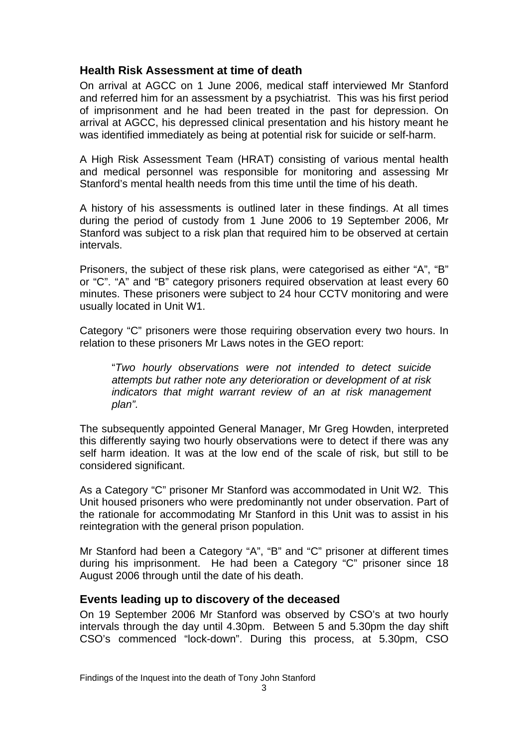### **Health Risk Assessment at time of death**

On arrival at AGCC on 1 June 2006, medical staff interviewed Mr Stanford and referred him for an assessment by a psychiatrist. This was his first period of imprisonment and he had been treated in the past for depression. On arrival at AGCC, his depressed clinical presentation and his history meant he was identified immediately as being at potential risk for suicide or self-harm.

A High Risk Assessment Team (HRAT) consisting of various mental health and medical personnel was responsible for monitoring and assessing Mr Stanford's mental health needs from this time until the time of his death.

A history of his assessments is outlined later in these findings. At all times during the period of custody from 1 June 2006 to 19 September 2006, Mr Stanford was subject to a risk plan that required him to be observed at certain intervals.

Prisoners, the subject of these risk plans, were categorised as either "A", "B" or "C". "A" and "B" category prisoners required observation at least every 60 minutes. These prisoners were subject to 24 hour CCTV monitoring and were usually located in Unit W1.

Category "C" prisoners were those requiring observation every two hours. In relation to these prisoners Mr Laws notes in the GEO report:

"*Two hourly observations were not intended to detect suicide attempts but rather note any deterioration or development of at risk indicators that might warrant review of an at risk management plan".* 

The subsequently appointed General Manager, Mr Greg Howden, interpreted this differently saying two hourly observations were to detect if there was any self harm ideation. It was at the low end of the scale of risk, but still to be considered significant.

As a Category "C" prisoner Mr Stanford was accommodated in Unit W2. This Unit housed prisoners who were predominantly not under observation. Part of the rationale for accommodating Mr Stanford in this Unit was to assist in his reintegration with the general prison population.

Mr Stanford had been a Category "A", "B" and "C" prisoner at different times during his imprisonment. He had been a Category "C" prisoner since 18 August 2006 through until the date of his death.

#### **Events leading up to discovery of the deceased**

On 19 September 2006 Mr Stanford was observed by CSO's at two hourly intervals through the day until 4.30pm. Between 5 and 5.30pm the day shift CSO's commenced "lock-down". During this process, at 5.30pm, CSO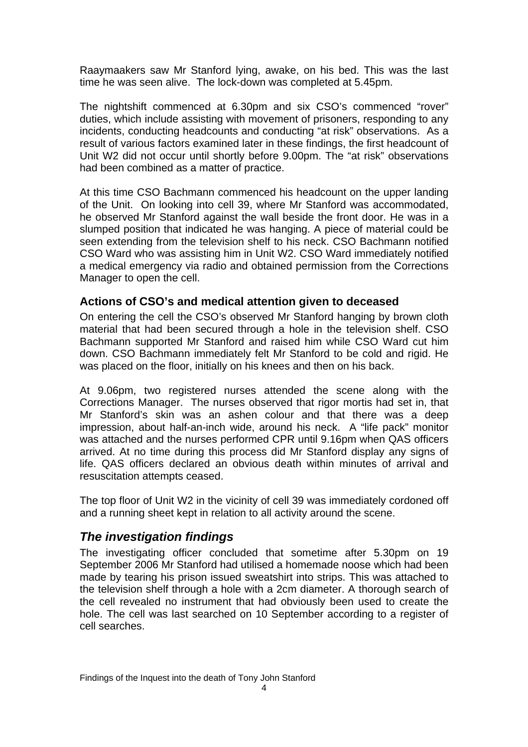Raaymaakers saw Mr Stanford lying, awake, on his bed. This was the last time he was seen alive. The lock-down was completed at 5.45pm.

The nightshift commenced at 6.30pm and six CSO's commenced "rover" duties, which include assisting with movement of prisoners, responding to any incidents, conducting headcounts and conducting "at risk" observations. As a result of various factors examined later in these findings, the first headcount of Unit W2 did not occur until shortly before 9.00pm. The "at risk" observations had been combined as a matter of practice.

At this time CSO Bachmann commenced his headcount on the upper landing of the Unit. On looking into cell 39, where Mr Stanford was accommodated, he observed Mr Stanford against the wall beside the front door. He was in a slumped position that indicated he was hanging. A piece of material could be seen extending from the television shelf to his neck. CSO Bachmann notified CSO Ward who was assisting him in Unit W2. CSO Ward immediately notified a medical emergency via radio and obtained permission from the Corrections Manager to open the cell.

### **Actions of CSO's and medical attention given to deceased**

On entering the cell the CSO's observed Mr Stanford hanging by brown cloth material that had been secured through a hole in the television shelf. CSO Bachmann supported Mr Stanford and raised him while CSO Ward cut him down. CSO Bachmann immediately felt Mr Stanford to be cold and rigid. He was placed on the floor, initially on his knees and then on his back.

At 9.06pm, two registered nurses attended the scene along with the Corrections Manager. The nurses observed that rigor mortis had set in, that Mr Stanford's skin was an ashen colour and that there was a deep impression, about half-an-inch wide, around his neck. A "life pack" monitor was attached and the nurses performed CPR until 9.16pm when QAS officers arrived. At no time during this process did Mr Stanford display any signs of life. QAS officers declared an obvious death within minutes of arrival and resuscitation attempts ceased.

The top floor of Unit W2 in the vicinity of cell 39 was immediately cordoned off and a running sheet kept in relation to all activity around the scene.

### *The investigation findings*

The investigating officer concluded that sometime after 5.30pm on 19 September 2006 Mr Stanford had utilised a homemade noose which had been made by tearing his prison issued sweatshirt into strips. This was attached to the television shelf through a hole with a 2cm diameter. A thorough search of the cell revealed no instrument that had obviously been used to create the hole. The cell was last searched on 10 September according to a register of cell searches.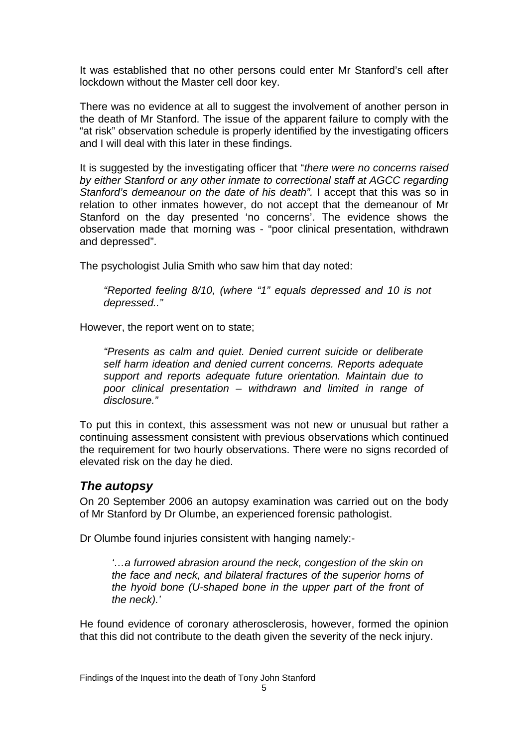It was established that no other persons could enter Mr Stanford's cell after lockdown without the Master cell door key.

There was no evidence at all to suggest the involvement of another person in the death of Mr Stanford. The issue of the apparent failure to comply with the "at risk" observation schedule is properly identified by the investigating officers and I will deal with this later in these findings.

It is suggested by the investigating officer that "*there were no concerns raised by either Stanford or any other inmate to correctional staff at AGCC regarding Stanford's demeanour on the date of his death".* I accept that this was so in relation to other inmates however, do not accept that the demeanour of Mr Stanford on the day presented 'no concerns'. The evidence shows the observation made that morning was - "poor clinical presentation, withdrawn and depressed".

The psychologist Julia Smith who saw him that day noted:

*"Reported feeling 8/10, (where "1" equals depressed and 10 is not depressed.."* 

However, the report went on to state;

*"Presents as calm and quiet. Denied current suicide or deliberate self harm ideation and denied current concerns. Reports adequate support and reports adequate future orientation. Maintain due to poor clinical presentation – withdrawn and limited in range of disclosure."* 

To put this in context, this assessment was not new or unusual but rather a continuing assessment consistent with previous observations which continued the requirement for two hourly observations. There were no signs recorded of elevated risk on the day he died.

### *The autopsy*

On 20 September 2006 an autopsy examination was carried out on the body of Mr Stanford by Dr Olumbe, an experienced forensic pathologist.

Dr Olumbe found injuries consistent with hanging namely:-

*'…a furrowed abrasion around the neck, congestion of the skin on the face and neck, and bilateral fractures of the superior horns of the hyoid bone (U-shaped bone in the upper part of the front of the neck).'*

He found evidence of coronary atherosclerosis, however, formed the opinion that this did not contribute to the death given the severity of the neck injury.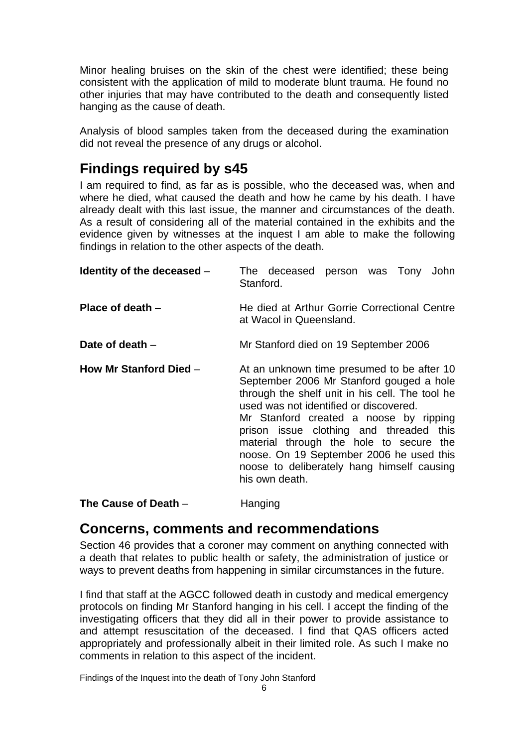Minor healing bruises on the skin of the chest were identified; these being consistent with the application of mild to moderate blunt trauma. He found no other injuries that may have contributed to the death and consequently listed hanging as the cause of death.

Analysis of blood samples taken from the deceased during the examination did not reveal the presence of any drugs or alcohol.

## **Findings required by s45**

I am required to find, as far as is possible, who the deceased was, when and where he died, what caused the death and how he came by his death. I have already dealt with this last issue, the manner and circumstances of the death. As a result of considering all of the material contained in the exhibits and the evidence given by witnesses at the inquest I am able to make the following findings in relation to the other aspects of the death.

| Identity of the deceased - | The deceased person was Tony John<br>Stanford.                                                                                                                                                                                                                                                                                                                                                                                  |  |
|----------------------------|---------------------------------------------------------------------------------------------------------------------------------------------------------------------------------------------------------------------------------------------------------------------------------------------------------------------------------------------------------------------------------------------------------------------------------|--|
| Place of death $-$         | He died at Arthur Gorrie Correctional Centre<br>at Wacol in Queensland.                                                                                                                                                                                                                                                                                                                                                         |  |
| Date of death $-$          | Mr Stanford died on 19 September 2006                                                                                                                                                                                                                                                                                                                                                                                           |  |
| How Mr Stanford Died -     | At an unknown time presumed to be after 10<br>September 2006 Mr Stanford gouged a hole<br>through the shelf unit in his cell. The tool he<br>used was not identified or discovered.<br>Mr Stanford created a noose by ripping<br>prison issue clothing and threaded this<br>material through the hole to secure the<br>noose. On 19 September 2006 he used this<br>noose to deliberately hang himself causing<br>his own death. |  |

**The Cause of Death** – Hanging

### **Concerns, comments and recommendations**

Section 46 provides that a coroner may comment on anything connected with a death that relates to public health or safety, the administration of justice or ways to prevent deaths from happening in similar circumstances in the future.

I find that staff at the AGCC followed death in custody and medical emergency protocols on finding Mr Stanford hanging in his cell. I accept the finding of the investigating officers that they did all in their power to provide assistance to and attempt resuscitation of the deceased. I find that QAS officers acted appropriately and professionally albeit in their limited role. As such I make no comments in relation to this aspect of the incident.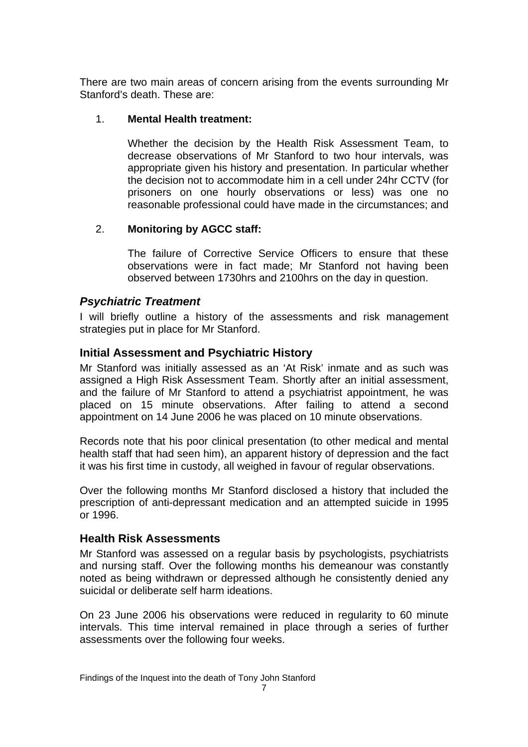There are two main areas of concern arising from the events surrounding Mr Stanford's death. These are:

#### 1. **Mental Health treatment:**

Whether the decision by the Health Risk Assessment Team, to decrease observations of Mr Stanford to two hour intervals, was appropriate given his history and presentation. In particular whether the decision not to accommodate him in a cell under 24hr CCTV (for prisoners on one hourly observations or less) was one no reasonable professional could have made in the circumstances; and

### 2. **Monitoring by AGCC staff:**

The failure of Corrective Service Officers to ensure that these observations were in fact made; Mr Stanford not having been observed between 1730hrs and 2100hrs on the day in question.

### *Psychiatric Treatment*

I will briefly outline a history of the assessments and risk management strategies put in place for Mr Stanford.

### **Initial Assessment and Psychiatric History**

Mr Stanford was initially assessed as an 'At Risk' inmate and as such was assigned a High Risk Assessment Team. Shortly after an initial assessment, and the failure of Mr Stanford to attend a psychiatrist appointment, he was placed on 15 minute observations. After failing to attend a second appointment on 14 June 2006 he was placed on 10 minute observations.

Records note that his poor clinical presentation (to other medical and mental health staff that had seen him), an apparent history of depression and the fact it was his first time in custody, all weighed in favour of regular observations.

Over the following months Mr Stanford disclosed a history that included the prescription of anti-depressant medication and an attempted suicide in 1995 or 1996.

#### **Health Risk Assessments**

Mr Stanford was assessed on a regular basis by psychologists, psychiatrists and nursing staff. Over the following months his demeanour was constantly noted as being withdrawn or depressed although he consistently denied any suicidal or deliberate self harm ideations.

On 23 June 2006 his observations were reduced in regularity to 60 minute intervals. This time interval remained in place through a series of further assessments over the following four weeks.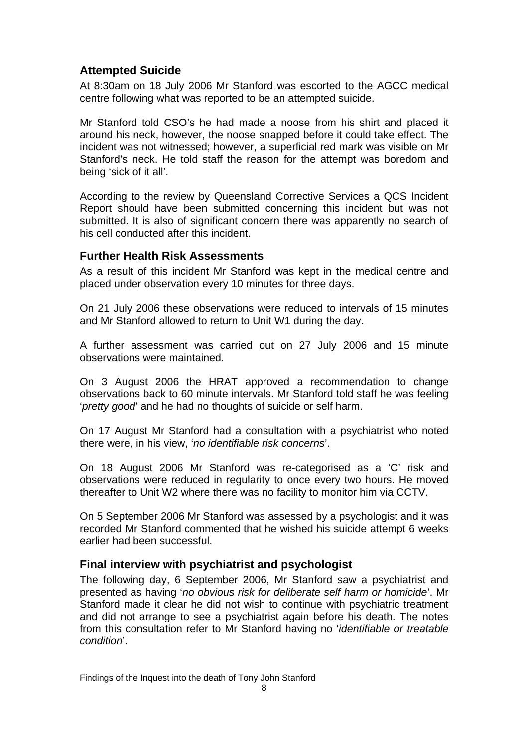### **Attempted Suicide**

At 8:30am on 18 July 2006 Mr Stanford was escorted to the AGCC medical centre following what was reported to be an attempted suicide.

Mr Stanford told CSO's he had made a noose from his shirt and placed it around his neck, however, the noose snapped before it could take effect. The incident was not witnessed; however, a superficial red mark was visible on Mr Stanford's neck. He told staff the reason for the attempt was boredom and being 'sick of it all'.

According to the review by Queensland Corrective Services a QCS Incident Report should have been submitted concerning this incident but was not submitted. It is also of significant concern there was apparently no search of his cell conducted after this incident.

### **Further Health Risk Assessments**

As a result of this incident Mr Stanford was kept in the medical centre and placed under observation every 10 minutes for three days.

On 21 July 2006 these observations were reduced to intervals of 15 minutes and Mr Stanford allowed to return to Unit W1 during the day.

A further assessment was carried out on 27 July 2006 and 15 minute observations were maintained.

On 3 August 2006 the HRAT approved a recommendation to change observations back to 60 minute intervals. Mr Stanford told staff he was feeling '*pretty good*' and he had no thoughts of suicide or self harm.

On 17 August Mr Stanford had a consultation with a psychiatrist who noted there were, in his view, '*no identifiable risk concerns*'.

On 18 August 2006 Mr Stanford was re-categorised as a 'C' risk and observations were reduced in regularity to once every two hours. He moved thereafter to Unit W2 where there was no facility to monitor him via CCTV.

On 5 September 2006 Mr Stanford was assessed by a psychologist and it was recorded Mr Stanford commented that he wished his suicide attempt 6 weeks earlier had been successful.

### **Final interview with psychiatrist and psychologist**

The following day, 6 September 2006, Mr Stanford saw a psychiatrist and presented as having '*no obvious risk for deliberate self harm or homicide*'. Mr Stanford made it clear he did not wish to continue with psychiatric treatment and did not arrange to see a psychiatrist again before his death. The notes from this consultation refer to Mr Stanford having no '*identifiable or treatable condition*'.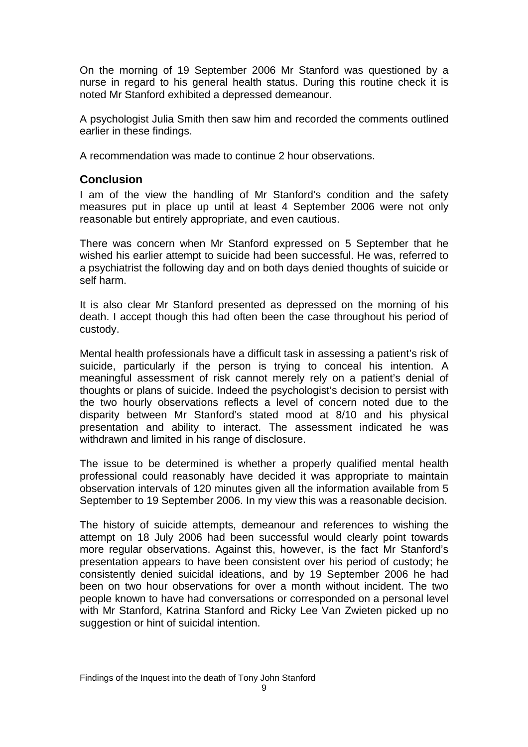On the morning of 19 September 2006 Mr Stanford was questioned by a nurse in regard to his general health status. During this routine check it is noted Mr Stanford exhibited a depressed demeanour.

A psychologist Julia Smith then saw him and recorded the comments outlined earlier in these findings.

A recommendation was made to continue 2 hour observations.

### **Conclusion**

I am of the view the handling of Mr Stanford's condition and the safety measures put in place up until at least 4 September 2006 were not only reasonable but entirely appropriate, and even cautious.

There was concern when Mr Stanford expressed on 5 September that he wished his earlier attempt to suicide had been successful. He was, referred to a psychiatrist the following day and on both days denied thoughts of suicide or self harm.

It is also clear Mr Stanford presented as depressed on the morning of his death. I accept though this had often been the case throughout his period of custody.

Mental health professionals have a difficult task in assessing a patient's risk of suicide, particularly if the person is trying to conceal his intention. A meaningful assessment of risk cannot merely rely on a patient's denial of thoughts or plans of suicide. Indeed the psychologist's decision to persist with the two hourly observations reflects a level of concern noted due to the disparity between Mr Stanford's stated mood at 8/10 and his physical presentation and ability to interact. The assessment indicated he was withdrawn and limited in his range of disclosure.

The issue to be determined is whether a properly qualified mental health professional could reasonably have decided it was appropriate to maintain observation intervals of 120 minutes given all the information available from 5 September to 19 September 2006. In my view this was a reasonable decision.

The history of suicide attempts, demeanour and references to wishing the attempt on 18 July 2006 had been successful would clearly point towards more regular observations. Against this, however, is the fact Mr Stanford's presentation appears to have been consistent over his period of custody; he consistently denied suicidal ideations, and by 19 September 2006 he had been on two hour observations for over a month without incident. The two people known to have had conversations or corresponded on a personal level with Mr Stanford, Katrina Stanford and Ricky Lee Van Zwieten picked up no suggestion or hint of suicidal intention.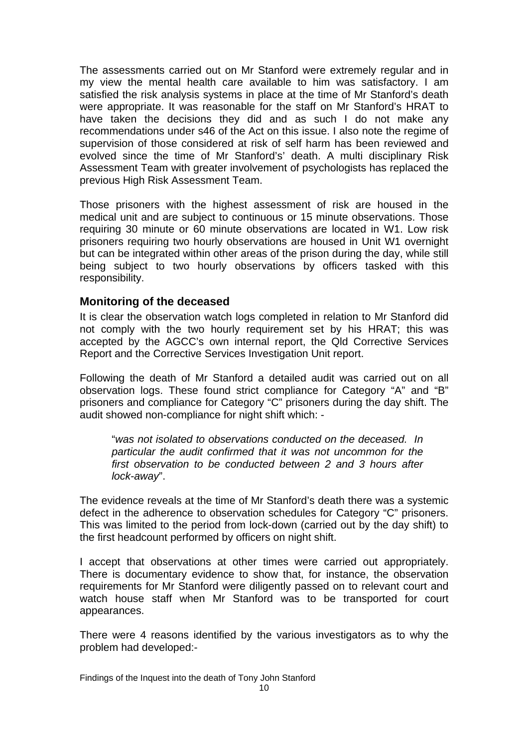The assessments carried out on Mr Stanford were extremely regular and in my view the mental health care available to him was satisfactory. I am satisfied the risk analysis systems in place at the time of Mr Stanford's death were appropriate. It was reasonable for the staff on Mr Stanford's HRAT to have taken the decisions they did and as such I do not make any recommendations under s46 of the Act on this issue. I also note the regime of supervision of those considered at risk of self harm has been reviewed and evolved since the time of Mr Stanford's' death. A multi disciplinary Risk Assessment Team with greater involvement of psychologists has replaced the previous High Risk Assessment Team.

Those prisoners with the highest assessment of risk are housed in the medical unit and are subject to continuous or 15 minute observations. Those requiring 30 minute or 60 minute observations are located in W1. Low risk prisoners requiring two hourly observations are housed in Unit W1 overnight but can be integrated within other areas of the prison during the day, while still being subject to two hourly observations by officers tasked with this responsibility.

#### **Monitoring of the deceased**

It is clear the observation watch logs completed in relation to Mr Stanford did not comply with the two hourly requirement set by his HRAT; this was accepted by the AGCC's own internal report, the Qld Corrective Services Report and the Corrective Services Investigation Unit report.

Following the death of Mr Stanford a detailed audit was carried out on all observation logs. These found strict compliance for Category "A" and "B" prisoners and compliance for Category "C" prisoners during the day shift. The audit showed non-compliance for night shift which: -

"*was not isolated to observations conducted on the deceased. In particular the audit confirmed that it was not uncommon for the first observation to be conducted between 2 and 3 hours after lock-away*".

The evidence reveals at the time of Mr Stanford's death there was a systemic defect in the adherence to observation schedules for Category "C" prisoners. This was limited to the period from lock-down (carried out by the day shift) to the first headcount performed by officers on night shift.

I accept that observations at other times were carried out appropriately. There is documentary evidence to show that, for instance, the observation requirements for Mr Stanford were diligently passed on to relevant court and watch house staff when Mr Stanford was to be transported for court appearances.

There were 4 reasons identified by the various investigators as to why the problem had developed:-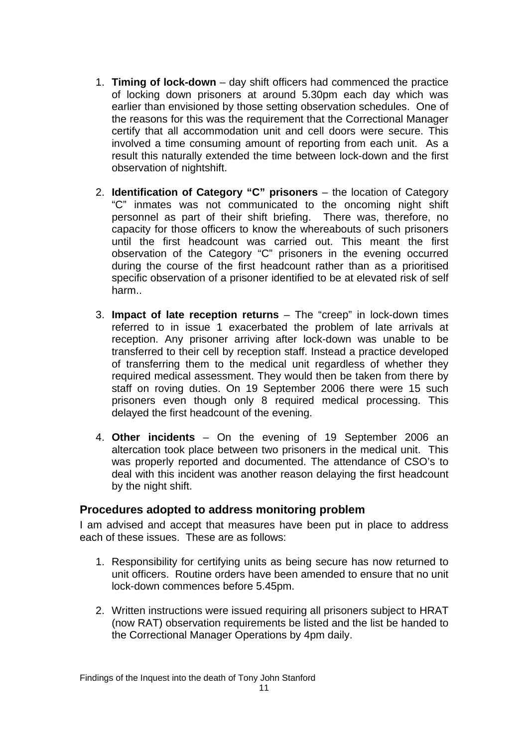- 1. **Timing of lock-down** day shift officers had commenced the practice of locking down prisoners at around 5.30pm each day which was earlier than envisioned by those setting observation schedules. One of the reasons for this was the requirement that the Correctional Manager certify that all accommodation unit and cell doors were secure. This involved a time consuming amount of reporting from each unit. As a result this naturally extended the time between lock-down and the first observation of nightshift.
- 2. **Identification of Category "C" prisoners**  the location of Category "C" inmates was not communicated to the oncoming night shift personnel as part of their shift briefing. There was, therefore, no capacity for those officers to know the whereabouts of such prisoners until the first headcount was carried out. This meant the first observation of the Category "C" prisoners in the evening occurred during the course of the first headcount rather than as a prioritised specific observation of a prisoner identified to be at elevated risk of self harm..
- 3. **Impact of late reception returns** The "creep" in lock-down times referred to in issue 1 exacerbated the problem of late arrivals at reception. Any prisoner arriving after lock-down was unable to be transferred to their cell by reception staff. Instead a practice developed of transferring them to the medical unit regardless of whether they required medical assessment. They would then be taken from there by staff on roving duties. On 19 September 2006 there were 15 such prisoners even though only 8 required medical processing. This delayed the first headcount of the evening.
- 4. **Other incidents** On the evening of 19 September 2006 an altercation took place between two prisoners in the medical unit. This was properly reported and documented. The attendance of CSO's to deal with this incident was another reason delaying the first headcount by the night shift.

#### **Procedures adopted to address monitoring problem**

I am advised and accept that measures have been put in place to address each of these issues. These are as follows:

- 1. Responsibility for certifying units as being secure has now returned to unit officers. Routine orders have been amended to ensure that no unit lock-down commences before 5.45pm.
- 2. Written instructions were issued requiring all prisoners subject to HRAT (now RAT) observation requirements be listed and the list be handed to the Correctional Manager Operations by 4pm daily.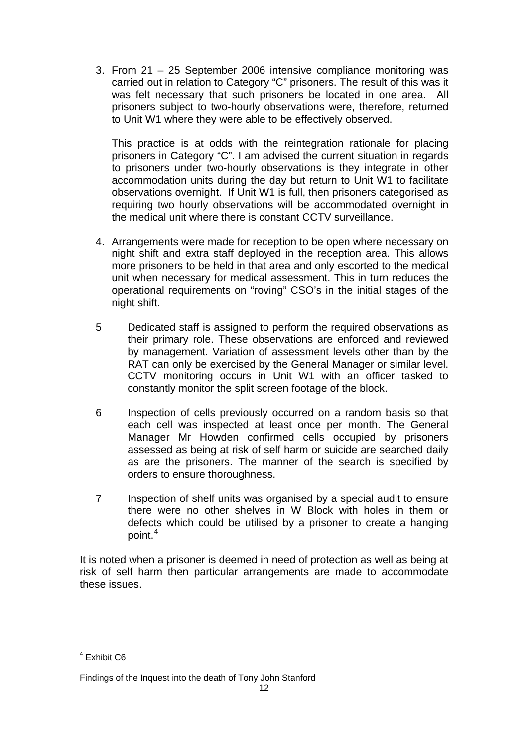3. From 21 – 25 September 2006 intensive compliance monitoring was carried out in relation to Category "C" prisoners. The result of this was it was felt necessary that such prisoners be located in one area. All prisoners subject to two-hourly observations were, therefore, returned to Unit W1 where they were able to be effectively observed.

This practice is at odds with the reintegration rationale for placing prisoners in Category "C". I am advised the current situation in regards to prisoners under two-hourly observations is they integrate in other accommodation units during the day but return to Unit W1 to facilitate observations overnight. If Unit W1 is full, then prisoners categorised as requiring two hourly observations will be accommodated overnight in the medical unit where there is constant CCTV surveillance.

- 4. Arrangements were made for reception to be open where necessary on night shift and extra staff deployed in the reception area. This allows more prisoners to be held in that area and only escorted to the medical unit when necessary for medical assessment. This in turn reduces the operational requirements on "roving" CSO's in the initial stages of the night shift.
- 5 Dedicated staff is assigned to perform the required observations as their primary role. These observations are enforced and reviewed by management. Variation of assessment levels other than by the RAT can only be exercised by the General Manager or similar level. CCTV monitoring occurs in Unit W1 with an officer tasked to constantly monitor the split screen footage of the block.
- 6 Inspection of cells previously occurred on a random basis so that each cell was inspected at least once per month. The General Manager Mr Howden confirmed cells occupied by prisoners assessed as being at risk of self harm or suicide are searched daily as are the prisoners. The manner of the search is specified by orders to ensure thoroughness.
- 7 Inspection of shelf units was organised by a special audit to ensure there were no other shelves in W Block with holes in them or defects which could be utilised by a prisoner to create a hanging point.<sup>[4](#page-13-0)</sup>

It is noted when a prisoner is deemed in need of protection as well as being at risk of self harm then particular arrangements are made to accommodate these issues.

<span id="page-13-0"></span> 4 Exhibit C6

Findings of the Inquest into the death of Tony John Stanford